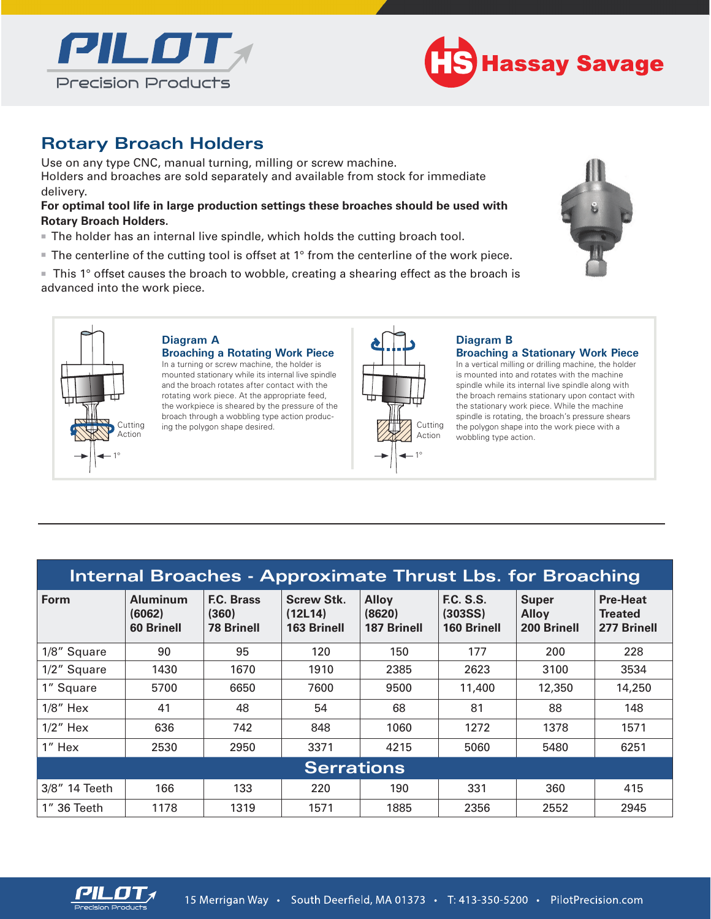



# **Rotary Broach Holders**

Use on any type CNC, manual turning, milling or screw machine. Holders and broaches are sold separately and available from stock for immediate delivery.

### For optimal tool life in large production settings these broaches should be used with Rotary Broach Holders.

- The holder has an internal live spindle, which holds the cutting broach tool.
- The centerline of the cutting tool is offset at 1° from the centerline of the work piece.
- This 1° offset causes the broach to wobble, creating a shearing effect as the broach is advanced into the work piece.





## **Diagram A Broaching a Rotating Work Piece**  In a turning or screw machine, the holder is

mounted stationary while its internal live spindle and the broach rotates after contact with the rotating work piece. At the appropriate feed, the workpiece is sheared by the pressure of the broach through a wobbling type action producing the polygon shape desired.



#### **Diagram B Broaching a Stationary Work Piece**

In a vertical milling or drilling machine, the holder is mounted into and rotates with the machine spindle while its internal live spindle along with the broach remains stationary upon contact with the stationary work piece. While the machine spindle is rotating, the broach's pressure shears the polygon shape into the work piece with a wobbling type action.

| <b>Internal Broaches - Approximate Thrust Lbs. for Broaching</b> |                                                |                                          |                                             |                                              |                                                   |                                             |                                                  |
|------------------------------------------------------------------|------------------------------------------------|------------------------------------------|---------------------------------------------|----------------------------------------------|---------------------------------------------------|---------------------------------------------|--------------------------------------------------|
| <b>Form</b>                                                      | <b>Aluminum</b><br>(6062)<br><b>60 Brinell</b> | F.C. Brass<br>(360)<br><b>78 Brinell</b> | <b>Screw Stk.</b><br>(12L14)<br>163 Brinell | <b>Alloy</b><br>(8620)<br><b>187 Brinell</b> | <b>F.C. S.S.</b><br>(303SS)<br><b>160 Brinell</b> | <b>Super</b><br><b>Alloy</b><br>200 Brinell | <b>Pre-Heat</b><br><b>Treated</b><br>277 Brinell |
| 1/8" Square                                                      | 90                                             | 95                                       | 120                                         | 150                                          | 177                                               | 200                                         | 228                                              |
| 1/2" Square                                                      | 1430                                           | 1670                                     | 1910                                        | 2385                                         | 2623                                              | 3100                                        | 3534                                             |
| 1" Square                                                        | 5700                                           | 6650                                     | 7600                                        | 9500                                         | 11,400                                            | 12,350                                      | 14,250                                           |
| $1/8$ " Hex                                                      | 41                                             | 48                                       | 54                                          | 68                                           | 81                                                | 88                                          | 148                                              |
| $1/2$ " Hex                                                      | 636                                            | 742                                      | 848                                         | 1060                                         | 1272                                              | 1378                                        | 1571                                             |
| 1" Hex                                                           | 2530                                           | 2950                                     | 3371                                        | 4215                                         | 5060                                              | 5480                                        | 6251                                             |
| <b>Serrations</b>                                                |                                                |                                          |                                             |                                              |                                                   |                                             |                                                  |
| 3/8" 14 Teeth                                                    | 166                                            | 133                                      | 220                                         | 190                                          | 331                                               | 360                                         | 415                                              |
| 1" 36 Teeth                                                      | 1178                                           | 1319                                     | 1571                                        | 1885                                         | 2356                                              | 2552                                        | 2945                                             |